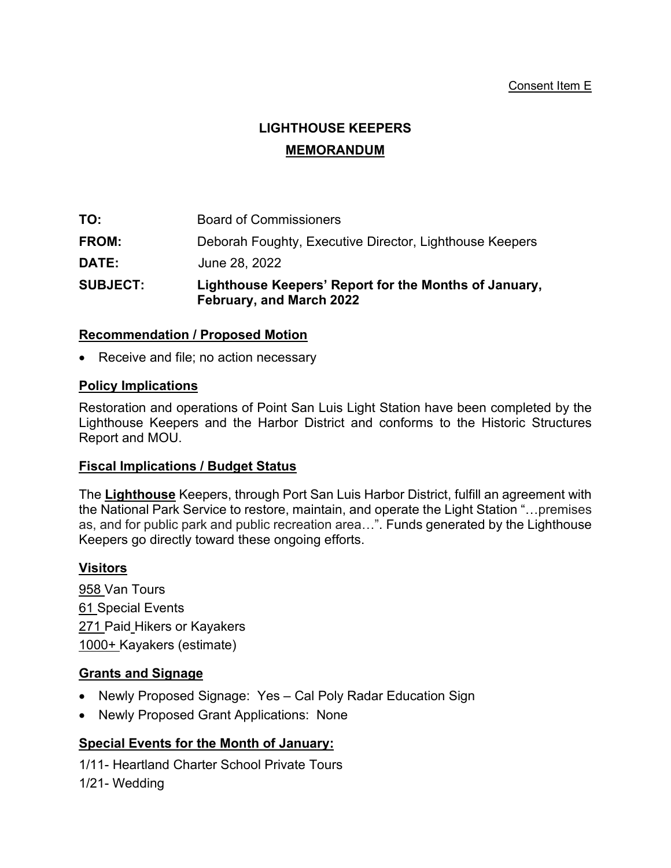#### Consent Item E

# **LIGHTHOUSE KEEPERS MEMORANDUM**

| <b>SUBJECT:</b> | Lighthouse Keepers' Report for the Months of January,<br>February, and March 2022 |
|-----------------|-----------------------------------------------------------------------------------|
| <b>DATE:</b>    | June 28, 2022                                                                     |
| <b>FROM:</b>    | Deborah Foughty, Executive Director, Lighthouse Keepers                           |
| TO:             | <b>Board of Commissioners</b>                                                     |

#### **Recommendation / Proposed Motion**

• Receive and file; no action necessary

### **Policy Implications**

Restoration and operations of Point San Luis Light Station have been completed by the Lighthouse Keepers and the Harbor District and conforms to the Historic Structures Report and MOU.

#### **Fiscal Implications / Budget Status**

The **Lighthouse** Keepers, through Port San Luis Harbor District, fulfill an agreement with the National Park Service to restore, maintain, and operate the Light Station "…premises as, and for public park and public recreation area…". Funds generated by the Lighthouse Keepers go directly toward these ongoing efforts.

#### **Visitors**

958 Van Tours 61 Special Events 271 Paid Hikers or Kayakers 1000+ Kayakers (estimate)

# **Grants and Signage**

- Newly Proposed Signage: Yes Cal Poly Radar Education Sign
- Newly Proposed Grant Applications: None

# **Special Events for the Month of January:**

1/11- Heartland Charter School Private Tours 1/21- Wedding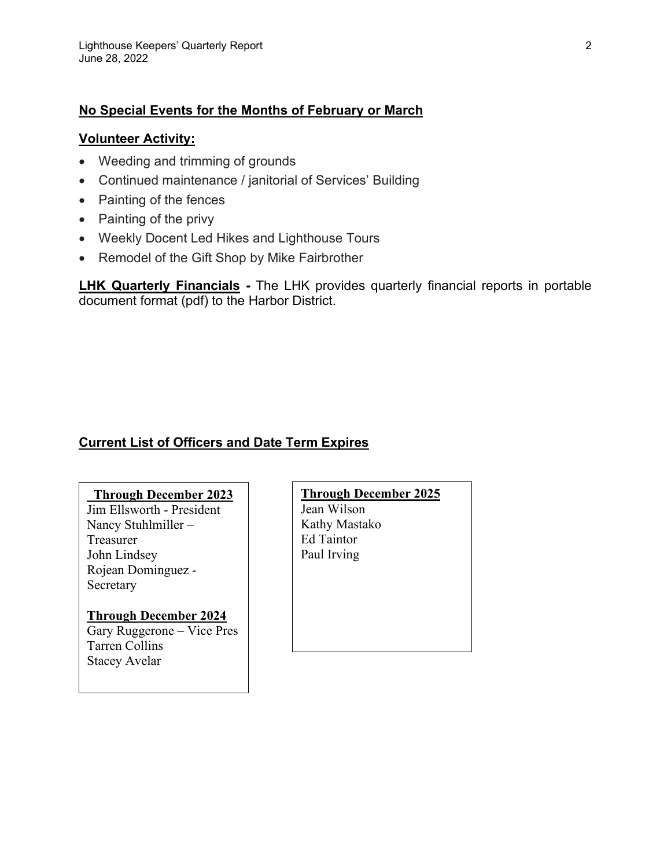## **No Special Events for the Months of February or March**

#### **Volunteer Activity:**

- Weeding and trimming of grounds
- Continued maintenance / janitorial of Services' Building
- Painting of the fences
- Painting of the privy
- Weekly Docent Led Hikes and Lighthouse Tours
- Remodel of the Gift Shop by Mike Fairbrother

**LHK Quarterly Financials -** The LHK provides quarterly financial reports in portable document format (pdf) to the Harbor District.

# **Current List of Officers and Date Term Expires**

#### **\_Through December 2023**

Jim Ellsworth - President Nancy Stuhlmiller – Treasurer John Lindsey Rojean Dominguez - Secretary

#### **Through December 2024** Gary Ruggerone – Vice Pres Tarren Collins Stacey Avelar

#### **Through December 2025**

Jean Wilson Kathy Mastako Ed Taintor Paul Irving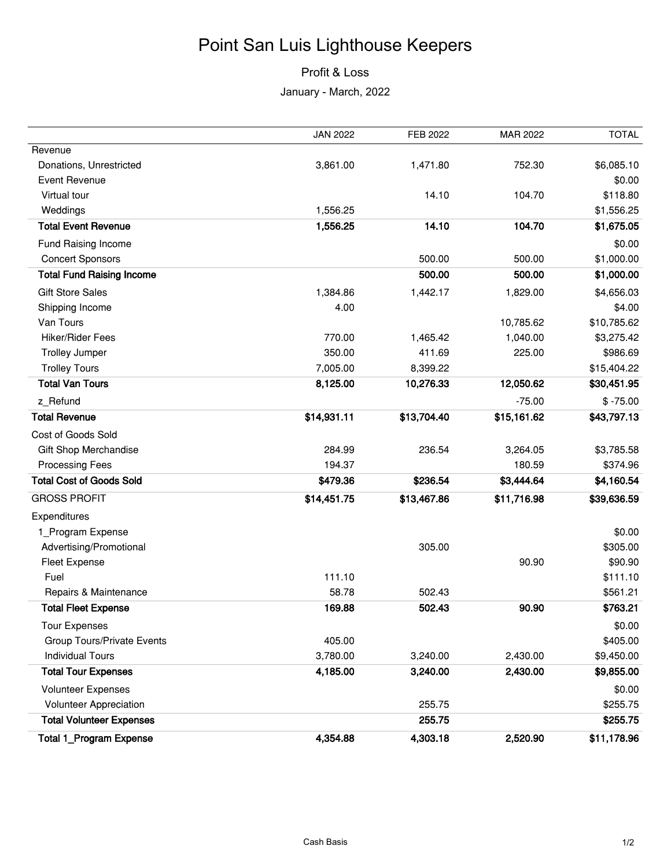# Point San Luis Lighthouse Keepers

# Profit & Loss

January - March, 2022

|                                   | <b>JAN 2022</b> | FEB 2022    | MAR 2022    | <b>TOTAL</b> |
|-----------------------------------|-----------------|-------------|-------------|--------------|
| Revenue                           |                 |             |             |              |
| Donations, Unrestricted           | 3,861.00        | 1,471.80    | 752.30      | \$6,085.10   |
| <b>Event Revenue</b>              |                 |             |             | \$0.00       |
| Virtual tour                      |                 | 14.10       | 104.70      | \$118.80     |
| Weddings                          | 1,556.25        |             |             | \$1,556.25   |
| <b>Total Event Revenue</b>        | 1,556.25        | 14.10       | 104.70      | \$1,675.05   |
| Fund Raising Income               |                 |             |             | \$0.00       |
| <b>Concert Sponsors</b>           |                 | 500.00      | 500.00      | \$1,000.00   |
| <b>Total Fund Raising Income</b>  |                 | 500.00      | 500.00      | \$1,000.00   |
| <b>Gift Store Sales</b>           | 1,384.86        | 1,442.17    | 1,829.00    | \$4,656.03   |
| Shipping Income                   | 4.00            |             |             | \$4.00       |
| Van Tours                         |                 |             | 10,785.62   | \$10,785.62  |
| <b>Hiker/Rider Fees</b>           | 770.00          | 1,465.42    | 1,040.00    | \$3,275.42   |
| <b>Trolley Jumper</b>             | 350.00          | 411.69      | 225.00      | \$986.69     |
| <b>Trolley Tours</b>              | 7,005.00        | 8,399.22    |             | \$15,404.22  |
| <b>Total Van Tours</b>            | 8,125.00        | 10,276.33   | 12,050.62   | \$30,451.95  |
| z Refund                          |                 |             | $-75.00$    | $$ -75.00$   |
| <b>Total Revenue</b>              | \$14,931.11     | \$13,704.40 | \$15,161.62 | \$43,797.13  |
| Cost of Goods Sold                |                 |             |             |              |
| Gift Shop Merchandise             | 284.99          | 236.54      | 3,264.05    | \$3,785.58   |
| <b>Processing Fees</b>            | 194.37          |             | 180.59      | \$374.96     |
| <b>Total Cost of Goods Sold</b>   | \$479.36        | \$236.54    | \$3,444.64  | \$4,160.54   |
| <b>GROSS PROFIT</b>               | \$14,451.75     | \$13,467.86 | \$11,716.98 | \$39,636.59  |
| Expenditures                      |                 |             |             |              |
| 1_Program Expense                 |                 |             |             | \$0.00       |
| Advertising/Promotional           |                 | 305.00      |             | \$305.00     |
| <b>Fleet Expense</b>              |                 |             | 90.90       | \$90.90      |
| Fuel                              | 111.10          |             |             | \$111.10     |
| Repairs & Maintenance             | 58.78           | 502.43      |             | \$561.21     |
| <b>Total Fleet Expense</b>        | 169.88          | 502.43      | 90.90       | \$763.21     |
| <b>Tour Expenses</b>              |                 |             |             | \$0.00       |
| <b>Group Tours/Private Events</b> | 405.00          |             |             | \$405.00     |
| <b>Individual Tours</b>           | 3,780.00        | 3,240.00    | 2,430.00    | \$9,450.00   |
| <b>Total Tour Expenses</b>        | 4,185.00        | 3,240.00    | 2,430.00    | \$9,855.00   |
| <b>Volunteer Expenses</b>         |                 |             |             | \$0.00       |
| Volunteer Appreciation            |                 | 255.75      |             | \$255.75     |
| <b>Total Volunteer Expenses</b>   |                 | 255.75      |             | \$255.75     |
| <b>Total 1_Program Expense</b>    | 4,354.88        | 4,303.18    | 2,520.90    | \$11,178.96  |